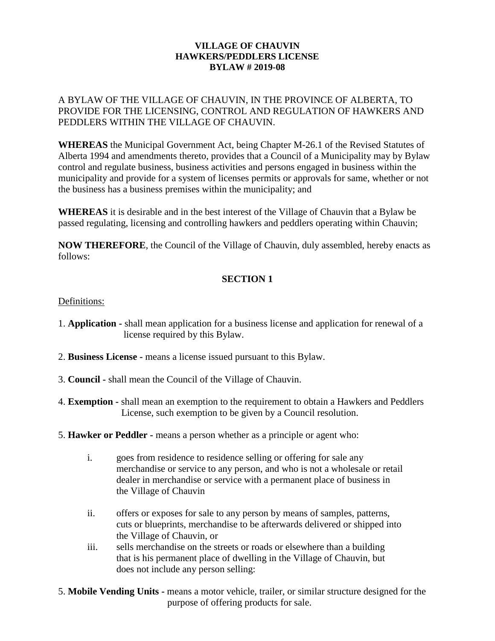### **VILLAGE OF CHAUVIN HAWKERS/PEDDLERS LICENSE BYLAW # 2019-08**

A BYLAW OF THE VILLAGE OF CHAUVIN, IN THE PROVINCE OF ALBERTA, TO PROVIDE FOR THE LICENSING, CONTROL AND REGULATION OF HAWKERS AND PEDDLERS WITHIN THE VILLAGE OF CHAUVIN.

**WHEREAS** the Municipal Government Act, being Chapter M-26.1 of the Revised Statutes of Alberta 1994 and amendments thereto, provides that a Council of a Municipality may by Bylaw control and regulate business, business activities and persons engaged in business within the municipality and provide for a system of licenses permits or approvals for same, whether or not the business has a business premises within the municipality; and

**WHEREAS** it is desirable and in the best interest of the Village of Chauvin that a Bylaw be passed regulating, licensing and controlling hawkers and peddlers operating within Chauvin;

**NOW THEREFORE**, the Council of the Village of Chauvin, duly assembled, hereby enacts as follows:

# **SECTION 1**

### Definitions:

- 1. **Application -** shall mean application for a business license and application for renewal of a license required by this Bylaw.
- 2. **Business License -** means a license issued pursuant to this Bylaw.
- 3. **Council -** shall mean the Council of the Village of Chauvin.
- 4. **Exemption -** shall mean an exemption to the requirement to obtain a Hawkers and Peddlers License, such exemption to be given by a Council resolution.
- 5. **Hawker or Peddler -** means a person whether as a principle or agent who:
	- i. goes from residence to residence selling or offering for sale any merchandise or service to any person, and who is not a wholesale or retail dealer in merchandise or service with a permanent place of business in the Village of Chauvin
	- ii. offers or exposes for sale to any person by means of samples, patterns, cuts or blueprints, merchandise to be afterwards delivered or shipped into the Village of Chauvin, or
	- iii. sells merchandise on the streets or roads or elsewhere than a building that is his permanent place of dwelling in the Village of Chauvin, but does not include any person selling:
- 5. **Mobile Vending Units -** means a motor vehicle, trailer, or similar structure designed for the purpose of offering products for sale.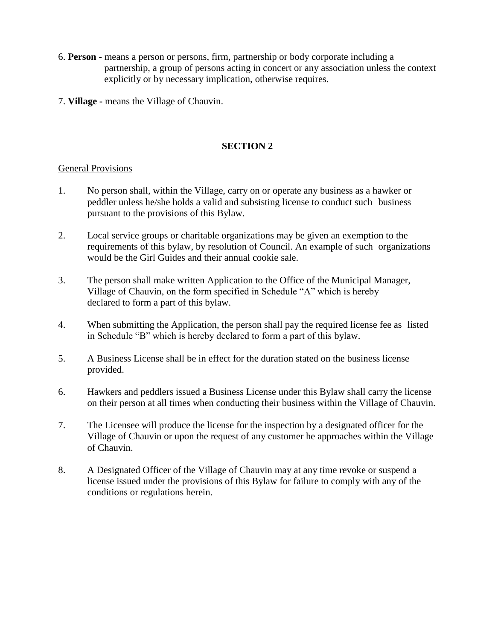- 6. **Person -** means a person or persons, firm, partnership or body corporate including a partnership, a group of persons acting in concert or any association unless the context explicitly or by necessary implication, otherwise requires.
- 7. **Village -** means the Village of Chauvin.

# **SECTION 2**

#### General Provisions

- 1. No person shall, within the Village, carry on or operate any business as a hawker or peddler unless he/she holds a valid and subsisting license to conduct such business pursuant to the provisions of this Bylaw.
- 2. Local service groups or charitable organizations may be given an exemption to the requirements of this bylaw, by resolution of Council. An example of such organizations would be the Girl Guides and their annual cookie sale.
- 3. The person shall make written Application to the Office of the Municipal Manager, Village of Chauvin, on the form specified in Schedule "A" which is hereby declared to form a part of this bylaw.
- 4. When submitting the Application, the person shall pay the required license fee as listed in Schedule "B" which is hereby declared to form a part of this bylaw.
- 5. A Business License shall be in effect for the duration stated on the business license provided.
- 6. Hawkers and peddlers issued a Business License under this Bylaw shall carry the license on their person at all times when conducting their business within the Village of Chauvin.
- 7. The Licensee will produce the license for the inspection by a designated officer for the Village of Chauvin or upon the request of any customer he approaches within the Village of Chauvin.
- 8. A Designated Officer of the Village of Chauvin may at any time revoke or suspend a license issued under the provisions of this Bylaw for failure to comply with any of the conditions or regulations herein.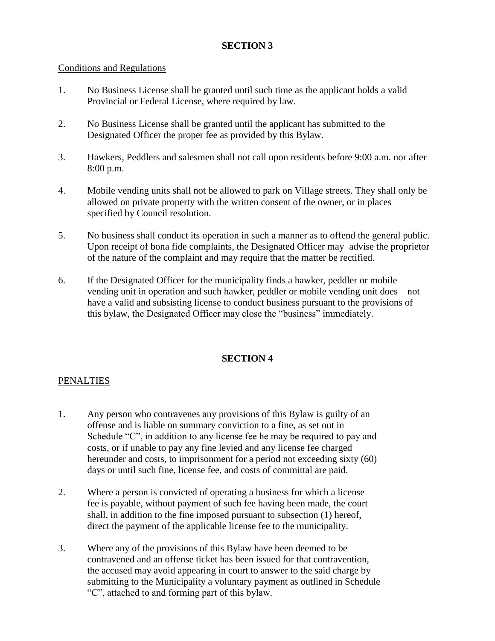# **SECTION 3**

#### Conditions and Regulations

- 1. No Business License shall be granted until such time as the applicant holds a valid Provincial or Federal License, where required by law.
- 2. No Business License shall be granted until the applicant has submitted to the Designated Officer the proper fee as provided by this Bylaw.
- 3. Hawkers, Peddlers and salesmen shall not call upon residents before 9:00 a.m. nor after 8:00 p.m.
- 4. Mobile vending units shall not be allowed to park on Village streets. They shall only be allowed on private property with the written consent of the owner, or in places specified by Council resolution.
- 5. No business shall conduct its operation in such a manner as to offend the general public. Upon receipt of bona fide complaints, the Designated Officer may advise the proprietor of the nature of the complaint and may require that the matter be rectified.
- 6. If the Designated Officer for the municipality finds a hawker, peddler or mobile vending unit in operation and such hawker, peddler or mobile vending unit does not have a valid and subsisting license to conduct business pursuant to the provisions of this bylaw, the Designated Officer may close the "business" immediately.

# **SECTION 4**

#### **PENALTIES**

- 1. Any person who contravenes any provisions of this Bylaw is guilty of an offense and is liable on summary conviction to a fine, as set out in Schedule "C", in addition to any license fee he may be required to pay and costs, or if unable to pay any fine levied and any license fee charged hereunder and costs, to imprisonment for a period not exceeding sixty (60) days or until such fine, license fee, and costs of committal are paid.
- 2. Where a person is convicted of operating a business for which a license fee is payable, without payment of such fee having been made, the court shall, in addition to the fine imposed pursuant to subsection (1) hereof, direct the payment of the applicable license fee to the municipality.
- 3. Where any of the provisions of this Bylaw have been deemed to be contravened and an offense ticket has been issued for that contravention, the accused may avoid appearing in court to answer to the said charge by submitting to the Municipality a voluntary payment as outlined in Schedule "C", attached to and forming part of this bylaw.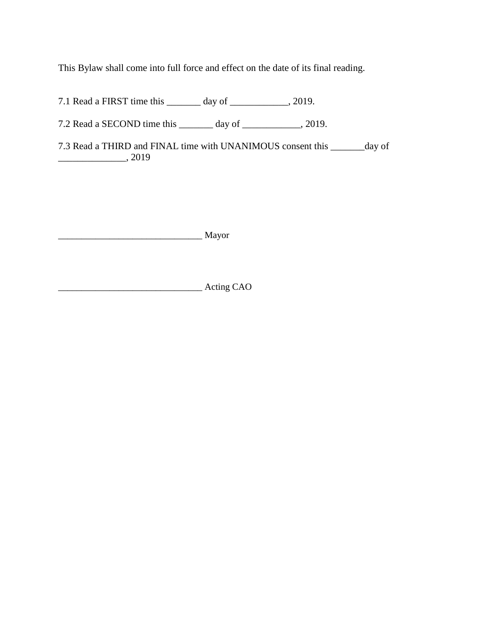This Bylaw shall come into full force and effect on the date of its final reading.

7.1 Read a FIRST time this \_\_\_\_\_\_\_ day of \_\_\_\_\_\_\_\_\_\_\_\_, 2019.

7.2 Read a SECOND time this \_\_\_\_\_\_\_ day of \_\_\_\_\_\_\_\_\_\_\_, 2019.

7.3 Read a THIRD and FINAL time with UNANIMOUS consent this \_\_\_\_\_\_\_day of \_\_\_\_\_\_\_\_\_\_\_\_\_\_, 2019

\_\_\_\_\_\_\_\_\_\_\_\_\_\_\_\_\_\_\_\_\_\_\_\_\_\_\_\_\_\_\_ Mayor

\_\_\_\_\_\_\_\_\_\_\_\_\_\_\_\_\_\_\_\_\_\_\_\_\_\_\_\_\_\_\_ Acting CAO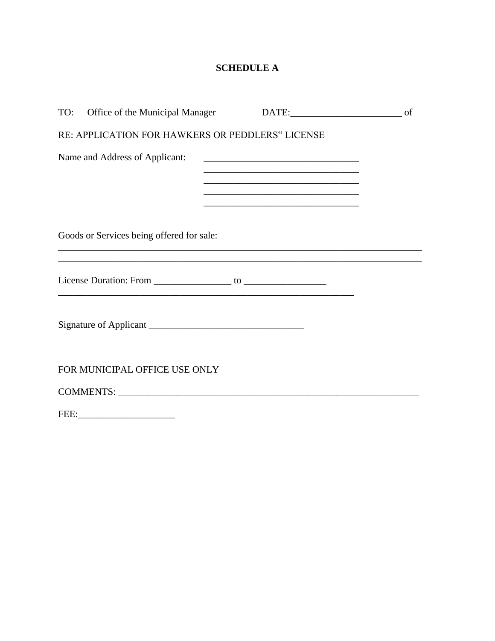# **SCHEDULE A**

| TO: Office of the Municipal Manager              |                                                                                           |  |
|--------------------------------------------------|-------------------------------------------------------------------------------------------|--|
| RE: APPLICATION FOR HAWKERS OR PEDDLERS" LICENSE |                                                                                           |  |
| Name and Address of Applicant:                   | <u> 1989 - Johann John Stein, mars an deus Amerikaanse kommunister (</u>                  |  |
|                                                  | the control of the control of the control of the control of the control of the control of |  |
|                                                  |                                                                                           |  |
| Goods or Services being offered for sale:        |                                                                                           |  |
|                                                  |                                                                                           |  |
|                                                  |                                                                                           |  |
| FOR MUNICIPAL OFFICE USE ONLY                    |                                                                                           |  |
|                                                  |                                                                                           |  |
|                                                  |                                                                                           |  |